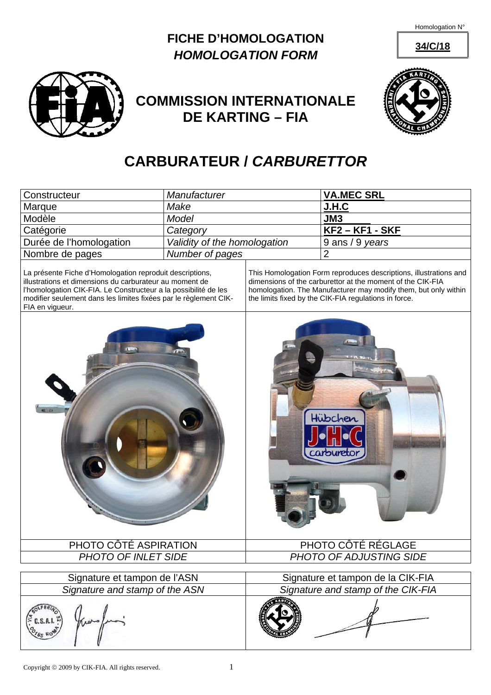Homologation N°





## **COMMISSION INTERNATIONALE DE KARTING – FIA**



## **CARBURATEUR /** *CARBURETTOR*

| Constructeur                                                                                                                                                                                                                                                                  | Manufacturer                 |                                                                                                                                                                                                                                                             | <b>VA.MEC SRL</b>       |
|-------------------------------------------------------------------------------------------------------------------------------------------------------------------------------------------------------------------------------------------------------------------------------|------------------------------|-------------------------------------------------------------------------------------------------------------------------------------------------------------------------------------------------------------------------------------------------------------|-------------------------|
| Marque                                                                                                                                                                                                                                                                        | Make                         |                                                                                                                                                                                                                                                             | <b>J.H.C</b>            |
| Modèle                                                                                                                                                                                                                                                                        | <b>Model</b>                 |                                                                                                                                                                                                                                                             | JM3                     |
| Catégorie                                                                                                                                                                                                                                                                     | Category                     |                                                                                                                                                                                                                                                             | <u> KF2 – KF1 - SKF</u> |
| Durée de l'homologation                                                                                                                                                                                                                                                       | Validity of the homologation |                                                                                                                                                                                                                                                             | 9 ans / 9 years         |
| Nombre de pages                                                                                                                                                                                                                                                               | Number of pages              |                                                                                                                                                                                                                                                             | $\overline{2}$          |
| La présente Fiche d'Homologation reproduit descriptions,<br>illustrations et dimensions du carburateur au moment de<br>l'homologation CIK-FIA. Le Constructeur a la possibilité de les<br>modifier seulement dans les limites fixées par le règlement CIK-<br>FIA en vigueur. |                              | This Homologation Form reproduces descriptions, illustrations and<br>dimensions of the carburettor at the moment of the CIK-FIA<br>homologation. The Manufacturer may modify them, but only within<br>the limits fixed by the CIK-FIA regulations in force. |                         |
| $Q - D$                                                                                                                                                                                                                                                                       |                              |                                                                                                                                                                                                                                                             | Hübchen<br>carbureto    |
| PHOTO CÔTÉ ASPIRATION                                                                                                                                                                                                                                                         |                              | PHOTO CÔTÉ RÉGLAGE                                                                                                                                                                                                                                          |                         |
| PHOTO OF INLET SIDE                                                                                                                                                                                                                                                           |                              | PHOTO OF ADJUSTING SIDE                                                                                                                                                                                                                                     |                         |
| Signature et tampon de l'ASN                                                                                                                                                                                                                                                  |                              | Signature et tampon de la CIK-FIA                                                                                                                                                                                                                           |                         |
| Signature and stamp of the ASN                                                                                                                                                                                                                                                |                              | Signature and stamp of the CIK-FIA                                                                                                                                                                                                                          |                         |
| $\geq$ C.S.A.I. $\approx$                                                                                                                                                                                                                                                     |                              |                                                                                                                                                                                                                                                             |                         |